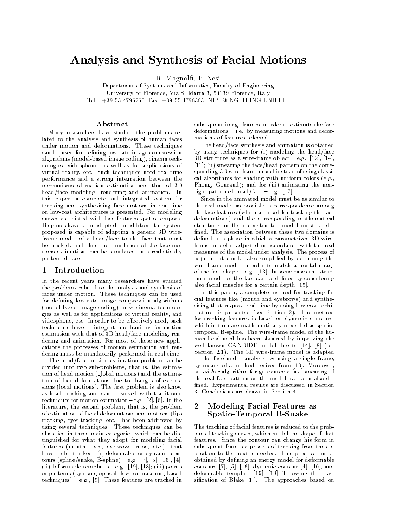# Analysis and Synthesis of Facial Motions

R. Magnolfi, P. Nesi

Department of Systems and Informatics, Faculty of Engineering University of Florence, Via S. Marta 3, 50139 Florence, Italy Tel.: +39-55-4796265, Fax.:+39-55-4796363, NESIQINGFI1.ING.UNIFI.IT

### Abstract

Many researchers have studied the problems related to the analysis and synthesis of human faces under motion and deformations. These techniques can be used for defining low-rate image compression algorithms (model-based image coding), cinema technologies, videophone, as well as for applications of virtual reality, etc. Such techniques need real-time performance and a strong integration between the mechanisms of motion estimation and that of 3D head/face modeling, rendering and animation. In this paper, a complete and integrated system for tracking and synthesising face motions in real-time on low-cost architectures is presented. For modeling curves associated with face features spatio-temporal B-splines have been adopted. In addition, the system proposed is capable of adapting a generic 3D wireframe model of a head/face to the face that must be tracked, and thus the simulation of the face motions estimations can be simulated on a realistically patterned face.

#### Introduction  $\mathbf{1}$

In the recent years many researchers have studied the problems related to the analysis and synthesis of faces under motion. These techniques can be used for defining low-rate image compression algorithms (model-based image coding), new cinema technologies as well as for applications of virtual reality, and videophone, etc. In order to be effectively used, such techniques have to integrate mechanisms for motion estimation with that of 3D head/face modeling, rendering and animation. For most of these new applications the processes of motion estimation and rendering must be mandatorily performed in real-time.

The head/face motion estimation problem can be divided into two sub-problems, that is, the estimation of head motion (global motions) and the estimation of face deformations due to changes of expressions (local motions). The first problem is also know as head tracking and can be solved with traditional techniques for motion estimation  $-e.g., [2], [6]$ . In the literature, the second problem, that is, the problem of estimation of facial deformations and motions (lips tracking, eyes tracking, etc.), has been addressed by using several techniques. These techniques can be classified in three main categories which can be distinguished for what they adopt for modeling facial features (mouth, eyes, eyebrows, nose, etc.) that have to be tracked: (i) deformable or dynamic contours (spline/snake,  $\hat{B}$ -spline) – e.g., [7], [5], [16], [4];<br>(ii) deformable templates – e.g., [19], [18]; (iii) points or patterns (by using optical-flow- or matching-based techniques) - e.g., [9]. These features are tracked in

subsequent image frames in order to estimate the face deformations - i.e., by measuring motions and deformations of features selected.

The head/face synthesis and animation is obtained by using techniques for (i) modeling the head/face 3D structure as a wire-frame object  $-$  e.g., [12], [14],  $[11]$ ; (ii) smearing the face/head pattern on the corresponding 3D wire-frame model instead of using classical algorithms for shading with uniform colors (e.g., Phong, Gouraud); and for (iii) animating the nonrigid patterned head/face  $-$  e.g., [17].

Since in the animated model must be as similar to the real model as possible, a correspondence among the face features (which are used for tracking the face deformations) and the corresponding mathematical structures in the reconstructed model must be defined. The association between these two domains is defined in a phase in which a parametrized 3D wireframe model is adjusted in accordance with the real measures of the model under analysis. The process of adjustment can be also simplified by deforming the wire-frame model in order to match a frontal image of the face shape  $-e.g., [13]$ . In some cases the structural model of the face can be defined by considering also facial muscles for a certain depth [15].

In this paper, a complete method for tracking facial features like (mouth and evebrows) and synthesising that in quasi-real-time by using low-cost architectures is presented (see Section 2). The method for tracking features is based on dynamic contours, which in turn are mathematically modelled as spatiotemporal B-spline. The wire-frame model of the human head used has been obtained by improving the well known CANDIDE model due to [14], [8] (see Section 2.1). The 3D wire-frame model is adapted to the face under analysis by using a single frame, by means of a method derived from [13]. Moreover, an ad hoc algorithm for guarantee a fast smearing of the real face pattern on the model has been also defined. Experimental results are discussed in Section 3. Conclusions are drawn in Section 4.

### $\boldsymbol{2}$ Modeling Facial Features as Spatio-Temporal B-Snake

The tracking of facial features is reduced to the problem of tracking curves, which model the shape of that features. Since the contour can change his form in subsequent frames a process of tracking from the old position to the next is needed. This process can be obtained by defining an energy model for deformable contours [7], [5], [16], dynamic contour [4], [10], and deformable template [19], [18] (following the classification of Blake [1]). The approaches based on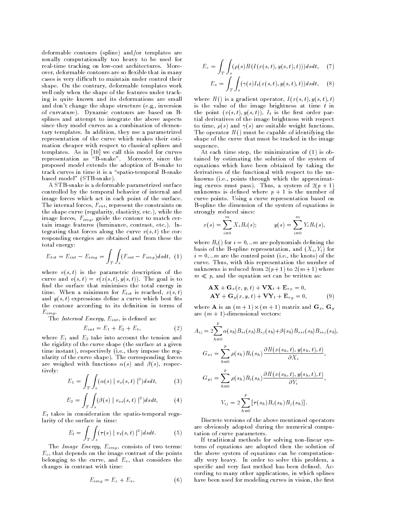deformable contours (spline) and/or templates are usually computationally too heavy to be used for real-time tracking on low-cost architectures. Moreover, deformable contours are so flexible that in many cases is very difficult to maintain under control their shape. On the contrary, deformable templates work well only when the shape of the features under tracking is quite known and its deformations are small and don't change the shape structure (e.g., inversion of curvature). Dynamic contours are based on Bsplines and attempt to integrate the above aspects since they model curves as a combination of elementary templates. In addition, they use a parametrized representation of the curve which makes their estimation cheaper with respect to classical splines and templates. As in [10] we call this model for curves representation as "B-snake". Moreover, since the proposed model extends the adoption of B-snake to track curves in time it is a "spatio-temporal B-snake based model" (STB-snake).

A STB-snake is a deformable parametrized surface controlled by the temporal behavior of internal and image forces which act in each point of the surface. The internal forces,  $F_{int}$ , represent the constraints on the shape curve (regularity, elasticity, etc.), while the image forces,  $F_{img}$ , guide the contour to match certain image features (luminance, contrast, etc.). Integrating that forces along the curve  $v(s, t)$  the corresponding energies are obtained and from these the total energy:

$$
E_{tot} = E_{int} - E_{img} = \int_{T} \int_{s} (F_{int} - F_{img}) ds dt, (1)
$$

where  $v(s, t)$  is the parametric description of the curve and  $v(s,t) = v(x(s,t), y(s,t))$ . The goal is to find the surface that minimises the total energy in time. When a minimum for  $E_{tot}$  is reached,  $x(s,t)$ and  $y(s, t)$  expressions define a curve which best fits the contour according to its definition in terms of  $E_{imq}$ .

The Internal Energy,  $E_{int}$ , is defined as:

$$
E_{int} = E_1 + E_2 + E_t, \t\t(2)
$$

where  $E_1$  and  $E_2$  take into account the tension and the rigidity of the curve shape (the surface at a given time instant), respectively (i.e., they impose the regularity of the curve shape). The corresponding forces are weighed with functions  $\alpha(s)$  and  $\beta(s)$ , respectively:

$$
E_1 = \int_{T} \int_{s} (\alpha(s) \mid v_s(s, t) \mid^2) ds dt, \tag{3}
$$

$$
E_2 = \int_T \int_s (\beta(s) \mid v_{ss}(s,t) \mid^2) ds dt, \tag{4}
$$

 $E_t$  takes in consideration the spatio-temporal regularity of the surface in time:

$$
E_t = \int_T \int_s (\tau(s) \mid v_t(s, t) \mid^2) ds dt.
$$
 (5)

The Image Energy,  $E_{img}$ , consists of two terms:  $E_c$ , that depends on the image contrast of the points belonging to the curve, and  $E_v$ , that considers the changes in contrast with time:

$$
E_{img} = E_c + E_v, \t\t(6)
$$

$$
E_c = \int_T \int_s (\rho(s)H(I(x(s,t),y(s,t),t)))dsdt, \quad (7)
$$

$$
E_v = \int_T \int_s (\gamma(s) I_t(x(s,t), y(s,t), t)) ds dt, \quad (8)
$$

where  $H()$  is a gradient operator,  $I(x(s,t),y(s,t),t)$ is the value of the image brightness at time  $t$  in the point  $(x(s,t),y(s,t)), I_t$  is the first order partial derivatives of the image brightness with respect to time,  $\rho(s)$  and  $\gamma(s)$  are suitable weight functions. The operator  $H()$  must be capable of identifying the shape of the curve that must be tracked in the image sequence.

At each time step, the minimization of (1) is obtained by estimating the solution of the system of equations which have been obtained by taking the derivatives of the functional with respect to the unknowns (i.e., points through which the approximating curves must pass). Thus, a system of  $2(p + 1)$ unknowns is defined where  $p + 1$  is the number of curve points. Using a curve representation based on B-spline the dimension of the system of equations is strongly reduced since:

$$
x(s) = \sum_{i=0}^{m} X_i B_i(s); \qquad y(s) = \sum_{i=0}^{m} Y_i B_i(s)
$$

where  $B_i()$  for  $i = 0, ...m$  are polynomials defining the basis of the B-spline representation, and  $(X_i, Y_i)$  for  $i=0,...m$  are the control point (i.e., the knots) of the curve. Thus, with this representation the number of unknowns is reduced from  $2(p+1)$  to  $2(m+1)$  where  $m \ll p$ , and the equation set can be written as:

$$
\mathbf{AX} + \mathbf{G}_x(x, y, t) + \mathbf{VX}_t + \mathbf{E}_{v_x} = 0,
$$
  
\n
$$
\mathbf{AY} + \mathbf{G}_y(x, y, t) + \mathbf{VY}_t + \mathbf{E}_{v_y} = 0,
$$
\n(9)

where **A** is an  $(m+1) \times (m+1)$  matrix and  $\mathbf{G}_x$ ,  $\mathbf{G}_y$ are  $(m + 1)$ -dimensional vectors:

$$
A_{ij} = 2 \sum_{h=0}^{p} \alpha(s_h) B_{si}(s_h) B_{sj}(s_h) + \beta(s_h) B_{ssi}(s_h) B_{ssi}(s_h),
$$
  
\n
$$
G_{xi} = \sum_{h=0}^{p} \rho(s_h) B_i(s_h) \frac{\partial H(x(s_h, t), y(s_h, t), t)}{\partial X_i},
$$
  
\n
$$
G_{yi} = \sum_{h=0}^{p} \rho(s_h) B_i(s_h) \frac{\partial H(x(s_h, t), y(s_h, t), t)}{\partial Y_i},
$$
  
\n
$$
V_{ij} = 2 \sum_{h=0}^{p} [\tau(s_h) B_i(s_h) B_j(s_h)].
$$

Discrete versions of the above mentioned operators are obviously adopted during the numerical computation of curve parameters.

If traditional methods for solving non-linear systems of equations are adopted then the solution of the above system of equations can be computationally very heavy. In order to solve this problem, a specific and very fast method has been defined. According to many other applications, in which splines have been used for modeling curves in vision, the first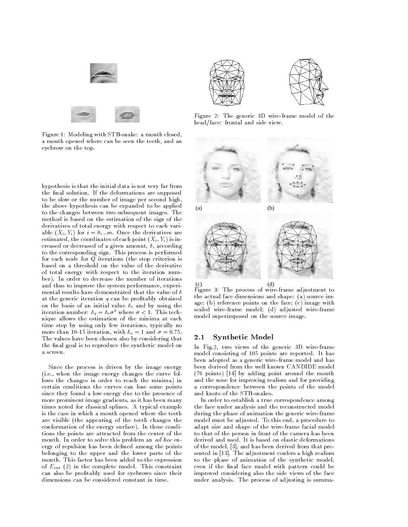

Figure 1: Modeling with STB-snake: a mouth closed, a mouth opened where can be seen the teeth, and an eyebrow on the top.

hypothesis is that the initial data is not very far from the final solution. If the deformations are supposed to be slow or the number of image per second high, the above hypothesis can be expanded to be applied to the changes between two subsequent images. The method is based on the estimation of the sign of the derivatives of total energy with respect to each variable  $(X_i, Y_i)$  for  $i = 0, ...m$ . Once the derivatives are estimated, the coordinates of each point  $(X_i, Y_i)$  is increased or decreased of a given amount,  $\delta$ , according to the corresponding sign. This process is performed for each node for  $\overline{Q}$  iterations (the stop criterion is based on a threshold on the value of the derivative of total energy with respect to the iteration number). In order to decrease the number of iterations and thus to improve the system performance, experimental results have demonstrated that the value of  $\delta$ at the generic iteration  $q$  can be profitably obtained on the basis of an initial value  $\delta_o$  and by using the iteration number:  $\delta_q = \delta_o \sigma^q$  where  $\sigma < 1$ . This technique allows the estimation of the minima at each time step by using only few iterations, typically no more than 10-15 iteration, with  $\delta_{\alpha} = 1$  and  $\sigma = 0.75$ . The values have been chosen also by considering that the final goal is to reproduce the synthetic model on a screen.

Since the process is driven by the image energy (i.e., when the image energy changes the curve follows the changes in order to reach the minima) in certain conditions the curves can lose some points since they found a low energy due to the presence of more prominent image gradients, as it has been many times noted for classical splines. A typical example is the case in which a mouth opened where the teeth are visible (the appearing of the teeth changes the conformation of the energy surface). In these conditions the points are attracted from the center of the mouth. In order to solve this problem an ad hoc energy of repulsion has been defined among the points belonging to the upper and the lower parts of the mouth. This factor has been added to the expression of  $E_{int}$  (2) in the complete model. This constraint can also be profitably used for eyebrows since their dimensions can be considered constant in time.



Figure 2: The generic 3D wire-frame model of the head/face: frontal and side view.



 $(d)$ 

Figure 3: The process of wire-frame adjustment to the actual face dimensions and shape: (a) source image; (b) reference points on the face; (c) image with scaled wire-frame model; (d) adjusted wire-frame model superimposed on the source image.

#### **Synthetic Model**  $2.1$

In Fig.2, two views of the generic 3D wire-frame model consisting of 105 points are reported. It has been adopted as a generic wire-frame model and has been derived from the well known CANDIDE model (76 points) [14] by adding point around the mouth and the nose for improving realism and for providing a correspondence between the points of the model and knots of the STB-snakes.

In order to establish a true correspondence among the face under analysis and the reconstructed model during the phase of animation the generic wire-frame model must be adjusted. To this end, a procedure to adapt size and shape of the wire-frame facial model to that of the person in front of the camera has been derived and used. It is based on elastic deformations of the model, [3], and has been derived from that presented in [13]. The adjustment confers a high realism to the phase of animation of the synthetic model, even if the final face model with pattern could be improved considering also the side views of the face under analysis. The process of adjusting is summa-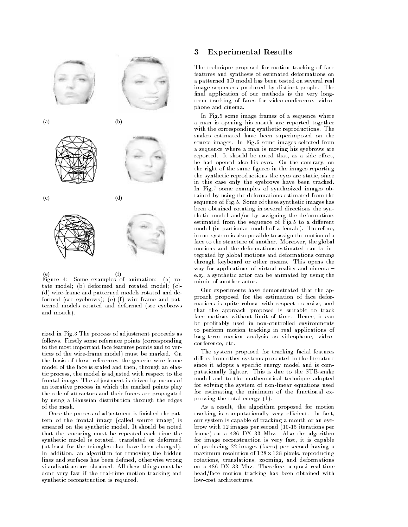

 $(f)$ Figure 4: Some examples of animation: (a) rotate model; (b) deformed and rotated model; (c)-(d) wire-frame and patterned models rotated and deformed (see eyebrows); (e)-(f) wire-frame and patterned models rotated and deformed (see eyebrows and mouth).

rized in Fig.3 The process of adjustment proceeds as follows. Firstly some reference points (corresponding to the most important face features points and to vertices of the wire-frame model) must be marked. On the basis of these references the generic wire-frame model of the face is scaled and then, through an elastic process, the model is adjusted with respect to the frontal image. The adjustment is driven by means of an iterative process in which the marked points play the role of attractors and their forces are propagated by using a Gaussian distribution through the edges of the mesh.

Once the process of adjustment is finished the pattern of the frontal image (called source image) is smeared on the synthetic model. It should be noted that the smearing must be repeated each time the synthetic model is rotated, translated or deformed (at least for the triangles that have been changed). In addition, an algorithm for removing the hidden lines and surfaces has been defined, otherwise wrong visualisations are obtained. All these things must be done very fast if the real-time motion tracking and synthetic reconstruction is required.

#### 3 **Experimental Results**

The technique proposed for motion tracking of face features and synthesis of estimated deformations on a patterned 3D model has been tested on several real image sequences produced by distinct people. The final application of our methods is the very longterm tracking of faces for video-conference, videophone and cinema.

In Fig.5 some image frames of a sequence where a man is opening his mouth are reported together with the corresponding synthetic reproductions. The snakes estimated have been superimposed on the source images. In Fig.6 some images selected from a sequence where a man is moving his eyebrows are reported. It should be noted that, as a side effect, he had opened also his eyes. On the contrary, on the right of the same figures in the images reporting the synthetic reproductions the eyes are static, since in this case only the eyebrows have been tracked. In Fig.7 some examples of synthesized images obtained by using the deformations estimated from the sequence of Fig.5. Some of these synthetic images has been obtained rotating in several directions the synthetic model and/or by assigning the deformations estimated from the sequence of Fig.5 to a different model (in particular model of a female). Therefore, in our system is also possible to assign the motion of a face to the structure of another. Moreover, the global motions and the deformations estimated can be integrated by global motions and deformations coming through keyboard or other means. This opens the way for applications of virtual reality and cinema e.g., a synthetic actor can be animated by using the mimic of another actor.

Our experiments have demonstrated that the approach proposed for the estimation of face deformations is quite robust with respect to noise, and that the approach proposed is suitable to track face motions without limit of time. Hence, it can be profitably used in non-controlled environments to perform motion tracking in real applications of long-term motion analysis as videophone, videoconference, etc.

The system proposed for tracking facial features differs from other systems presented in the literature since it adopts a specific energy model and is computationally lighter. This is due to the STB-snake model and to the mathematical technique adopted for solving the system of non-linear equations used for estimating the minimum of the functional expressing the total energy  $(1)$ .

As a result, the algorithm proposed for motion tracking is computationally very efficient. In fact, our system is capable of tracking a mouth or an eyebrow with 12 images per second (10-15 iterations per frame) on a 486 DX 33 Mhz. Also the algorithm for image reconstruction is very fast, it is capable of producing 22 images (faces) per second having a maximum resolution of  $128 \times 128$  pixels, reproducing rotations, translations, zooming, and deformations on a 486 DX 33 Mhz. Therefore, a quasi real-time head/face motion tracking has been obtained with low-cost architectures.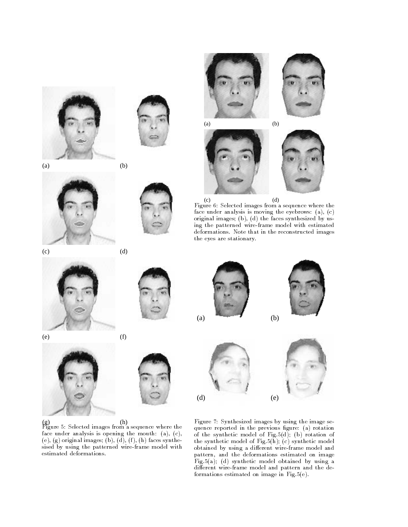



 $(a)$ 

 $(e)$ 











 $(d)$  $(c)$ Figure 6: Selected images from a sequence where the face under analysis is moving the eyebrows:  $(a)$ ,  $(c)$ original images; (b), (d) the faces synthesized by using the patterned wire-frame model with estimated deformations. Note that in the reconstructed images the eyes are stationary.



 $(d)$ 

 $(b)$ 



(g) (h)<br>Figure 5: Selected images from a sequence where the face under analysis is opening the mouth:  $(a)$ ,  $(c)$ , (e), (g) original images; (b), (d), (f), (h) faces synthesised by using the patterned wire-frame model with estimated deformations.



 $(d)$ 

Figure 7: Synthesized images by using the image sequence reported in the previous figure: (a) rotation of the synthetic model of Fig.5(d); (b) rotation of the synthetic model of Fig.5( $\bar{h}$ ); (c) synthetic model obtained by using a different wire-frame model and pattern, and the deformations estimated on image Fig.5(a); (d) synthetic model obtained by using a different wire-frame model and pattern and the deformations estimated on image in Fig.5(e).

 $(e)$